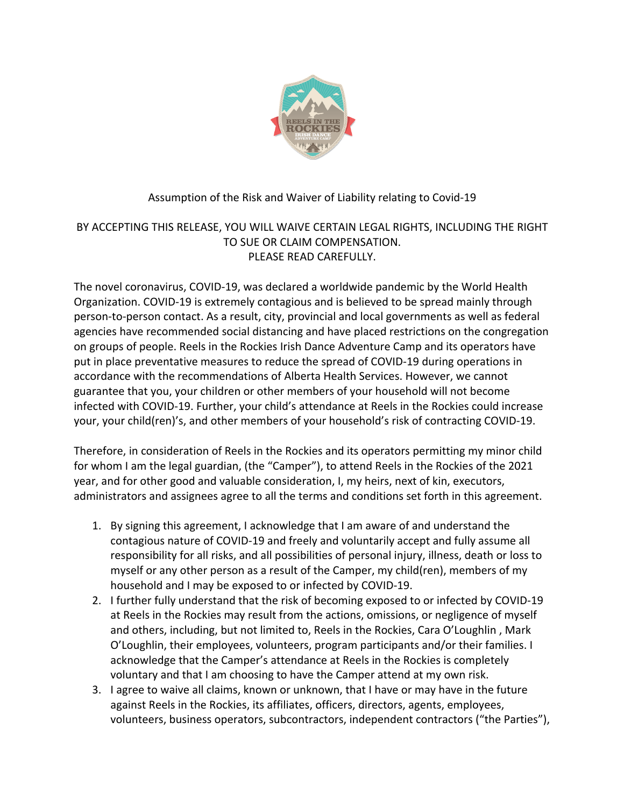

## Assumption of the Risk and Waiver of Liability relating to Covid-19

## BY ACCEPTING THIS RELEASE, YOU WILL WAIVE CERTAIN LEGAL RIGHTS, INCLUDING THE RIGHT TO SUE OR CLAIM COMPENSATION. PLEASE READ CAREFULLY.

The novel coronavirus, COVID-19, was declared a worldwide pandemic by the World Health Organization. COVID-19 is extremely contagious and is believed to be spread mainly through person-to-person contact. As a result, city, provincial and local governments as well as federal agencies have recommended social distancing and have placed restrictions on the congregation on groups of people. Reels in the Rockies Irish Dance Adventure Camp and its operators have put in place preventative measures to reduce the spread of COVID-19 during operations in accordance with the recommendations of Alberta Health Services. However, we cannot guarantee that you, your children or other members of your household will not become infected with COVID-19. Further, your child's attendance at Reels in the Rockies could increase your, your child(ren)'s, and other members of your household's risk of contracting COVID-19.

Therefore, in consideration of Reels in the Rockies and its operators permitting my minor child for whom I am the legal guardian, (the "Camper"), to attend Reels in the Rockies of the 2021 year, and for other good and valuable consideration, I, my heirs, next of kin, executors, administrators and assignees agree to all the terms and conditions set forth in this agreement.

- 1. By signing this agreement, I acknowledge that I am aware of and understand the contagious nature of COVID-19 and freely and voluntarily accept and fully assume all responsibility for all risks, and all possibilities of personal injury, illness, death or loss to myself or any other person as a result of the Camper, my child(ren), members of my household and I may be exposed to or infected by COVID-19.
- 2. I further fully understand that the risk of becoming exposed to or infected by COVID-19 at Reels in the Rockies may result from the actions, omissions, or negligence of myself and others, including, but not limited to, Reels in the Rockies, Cara O'Loughlin , Mark O'Loughlin, their employees, volunteers, program participants and/or their families. I acknowledge that the Camper's attendance at Reels in the Rockies is completely voluntary and that I am choosing to have the Camper attend at my own risk.
- 3. I agree to waive all claims, known or unknown, that I have or may have in the future against Reels in the Rockies, its affiliates, officers, directors, agents, employees, volunteers, business operators, subcontractors, independent contractors ("the Parties"),